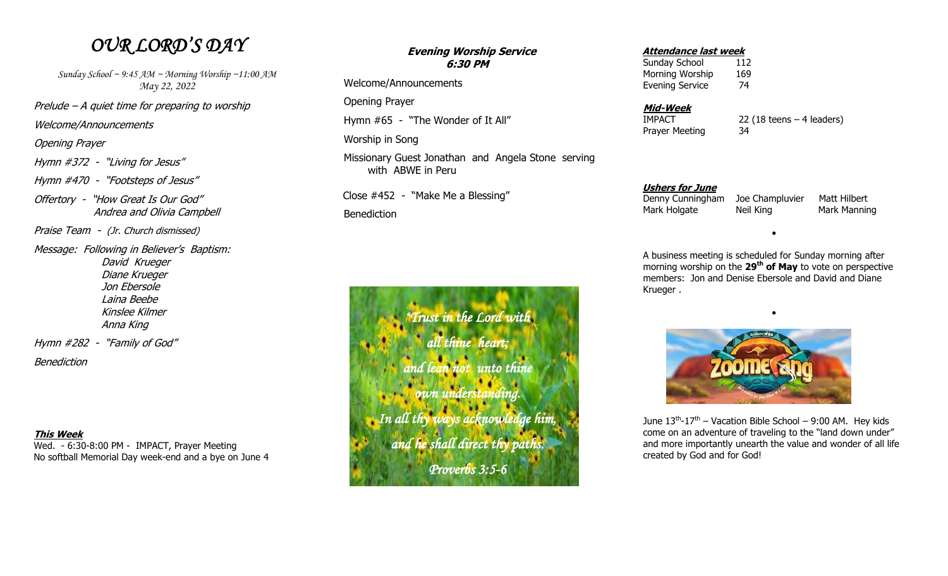# *OUR LORD'S DAY*

*Sunday School ~ 9:45 AM ~ Morning Worship ~11:00 AM May 22, 2022*

Prelude – A quiet time for preparing to worship

Welcome/Announcements

Opening Prayer

Hymn #372 - "Living for Jesus"

Hymn #470 - "Footsteps of Jesus"

Offertory - "How Great Is Our God" Andrea and Olivia Campbell

Praise Team - (Jr. Church dismissed)

Message: Following in Believer's Baptism: David Krueger Diane Krueger Jon Ebersole Laina Beebe Kinslee Kilmer Anna King Hymn #282 - "Family of God"

**Benediction** 

### **This Week**

Wed. - 6:30-8:00 PM - IMPACT, Prayer Meeting No softball Memorial Day week-end and a bye on June 4

## **Evening Worship Service 6:30 PM**

Welcome/Announcements

Opening Prayer

Hymn #65 - "The Wonder of It All"

Worship in Song

Missionary Guest Jonathan and Angela Stone serving with ABWE in Peru

Close #452 - "Make Me a Blessing"

Benediction

*"Trust in the Lord with all thine heart; and lean not unto thine own understanding. In all thy ways acknowledge him, and he shall direct thy paths. Proverbs 3:5-6* 

#### **Attendance last week**

Sunday School 112 Morning Worship 169 Evening Service 74

#### **Mid-Week**

Prayer Meeting 34

IMPACT 22 (18 teens – 4 leaders)

#### **Ushers for June**

 Denny Cunningham Joe Champluvier Matt Hilbert Mark Holgate Neil King Mark Manning

 A business meeting is scheduled for Sunday morning after morning worship on the **29th of May** to vote on perspective members: Jon and Denise Ebersole and David and Diane Krueger .

 $\bullet$ 

 $\bullet$ 



June  $13^{th}$ - $17^{th}$  – Vacation Bible School – 9:00 AM. Hey kids come on an adventure of traveling to the "land down under" and more importantly unearth the value and wonder of all life created by God and for God!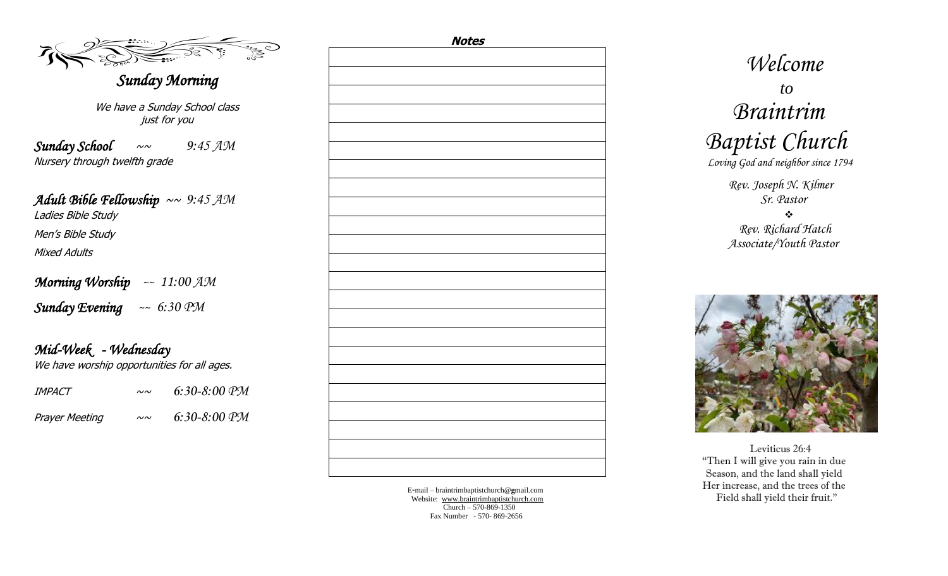## *Sunday Morning*

We have a Sunday School class just for you

*Sunday School* ~~ *9:45 AM* Nursery through twelfth grade

*Adult Bible Fellowship* ~~ *9:45 AM*  Ladies Bible Study Men's Bible Study Mixed Adults

*Morning Worship ~~ 11:00 AM*

*Sunday Evening ~~ 6:30 PM*

*Mid-Week - Wednesday*  We have worship opportunities for all ages.

| IMPACT                | $\sim \sim$  | $6:30-8:00$ PM |
|-----------------------|--------------|----------------|
| <b>Prayer Meeting</b> | $\sim\!\sim$ | $6:30-8:00$ PM |

| <u>Notes</u> |
|--------------|
|              |
|              |
|              |
|              |
|              |
|              |
|              |
|              |
|              |
|              |
|              |
|              |
|              |
|              |
|              |
|              |
|              |
|              |
|              |
|              |
|              |
|              |
|              |
|              |
|              |
|              |
|              |
|              |
|              |
|              |
|              |
|              |
|              |
|              |
|              |
|              |
|              |
|              |
|              |
|              |
|              |
|              |
|              |

E -mail – braintrimbaptistchurch@ **g**mail.com Website: [www.braintrimbaptistchurch.com](http://www.braintrimbaptistchurch.org/) Church – 570 -869 -1350 Fax Number - 570 - 869 -2656

 *Welcome to Braintrim Baptist Church Loving God and neighbor since 1794 Rev. Joseph N. Kilmer Sr. Pastor*

> $\frac{1}{2}$  *Rev. Richard Hatch Associate/Youth Pastor*

 Leviticus 26:4 "Then I will give you rain in due Season, and the land shall yield Her increase, and the trees of the Field shall yield their fruit."